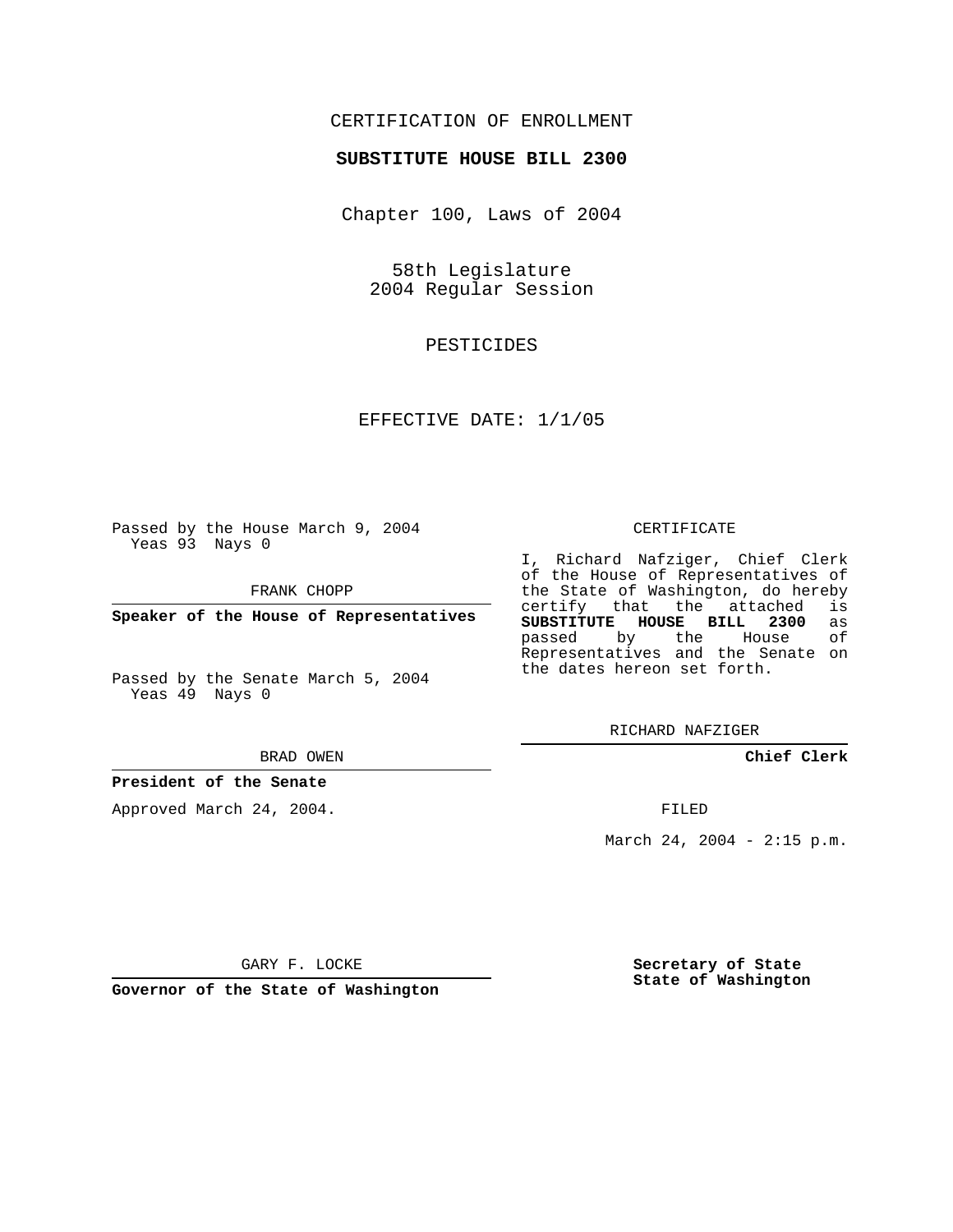## CERTIFICATION OF ENROLLMENT

## **SUBSTITUTE HOUSE BILL 2300**

Chapter 100, Laws of 2004

58th Legislature 2004 Regular Session

PESTICIDES

EFFECTIVE DATE: 1/1/05

Passed by the House March 9, 2004 Yeas 93 Nays 0

FRANK CHOPP

**Speaker of the House of Representatives**

Passed by the Senate March 5, 2004 Yeas 49 Nays 0

#### BRAD OWEN

## **President of the Senate**

Approved March 24, 2004.

### CERTIFICATE

I, Richard Nafziger, Chief Clerk of the House of Representatives of the State of Washington, do hereby<br>certify that the attached is certify that the attached **SUBSTITUTE HOUSE BILL 2300** as passed by the House Representatives and the Senate on the dates hereon set forth.

RICHARD NAFZIGER

**Chief Clerk**

FILED

March 24, 2004 - 2:15 p.m.

GARY F. LOCKE

**Governor of the State of Washington**

**Secretary of State State of Washington**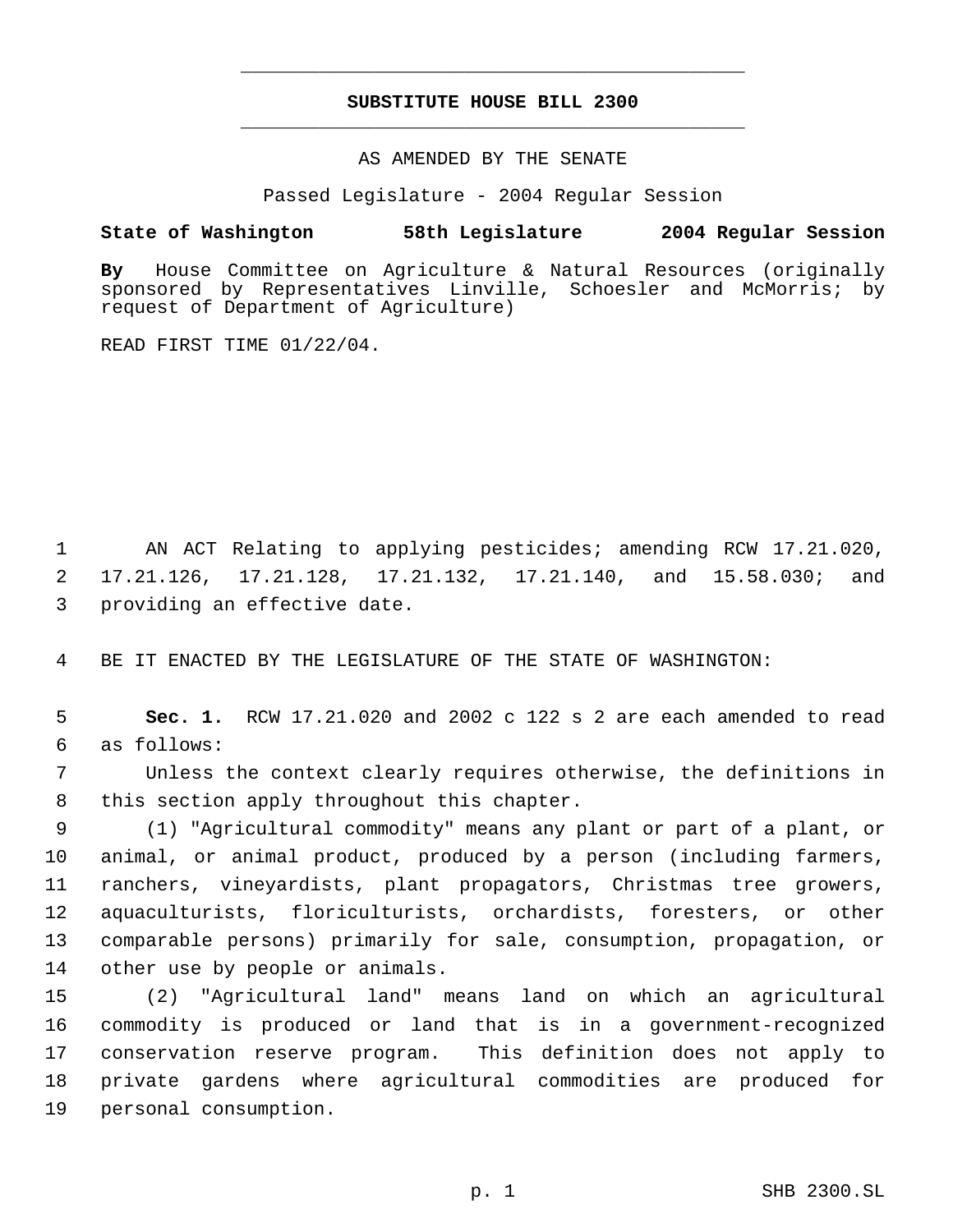# **SUBSTITUTE HOUSE BILL 2300** \_\_\_\_\_\_\_\_\_\_\_\_\_\_\_\_\_\_\_\_\_\_\_\_\_\_\_\_\_\_\_\_\_\_\_\_\_\_\_\_\_\_\_\_\_

\_\_\_\_\_\_\_\_\_\_\_\_\_\_\_\_\_\_\_\_\_\_\_\_\_\_\_\_\_\_\_\_\_\_\_\_\_\_\_\_\_\_\_\_\_

## AS AMENDED BY THE SENATE

Passed Legislature - 2004 Regular Session

## **State of Washington 58th Legislature 2004 Regular Session**

**By** House Committee on Agriculture & Natural Resources (originally sponsored by Representatives Linville, Schoesler and McMorris; by request of Department of Agriculture)

READ FIRST TIME 01/22/04.

 AN ACT Relating to applying pesticides; amending RCW 17.21.020, 17.21.126, 17.21.128, 17.21.132, 17.21.140, and 15.58.030; and providing an effective date.

BE IT ENACTED BY THE LEGISLATURE OF THE STATE OF WASHINGTON:

 **Sec. 1.** RCW 17.21.020 and 2002 c 122 s 2 are each amended to read as follows:

 Unless the context clearly requires otherwise, the definitions in this section apply throughout this chapter.

 (1) "Agricultural commodity" means any plant or part of a plant, or animal, or animal product, produced by a person (including farmers, ranchers, vineyardists, plant propagators, Christmas tree growers, aquaculturists, floriculturists, orchardists, foresters, or other comparable persons) primarily for sale, consumption, propagation, or other use by people or animals.

 (2) "Agricultural land" means land on which an agricultural commodity is produced or land that is in a government-recognized conservation reserve program. This definition does not apply to private gardens where agricultural commodities are produced for personal consumption.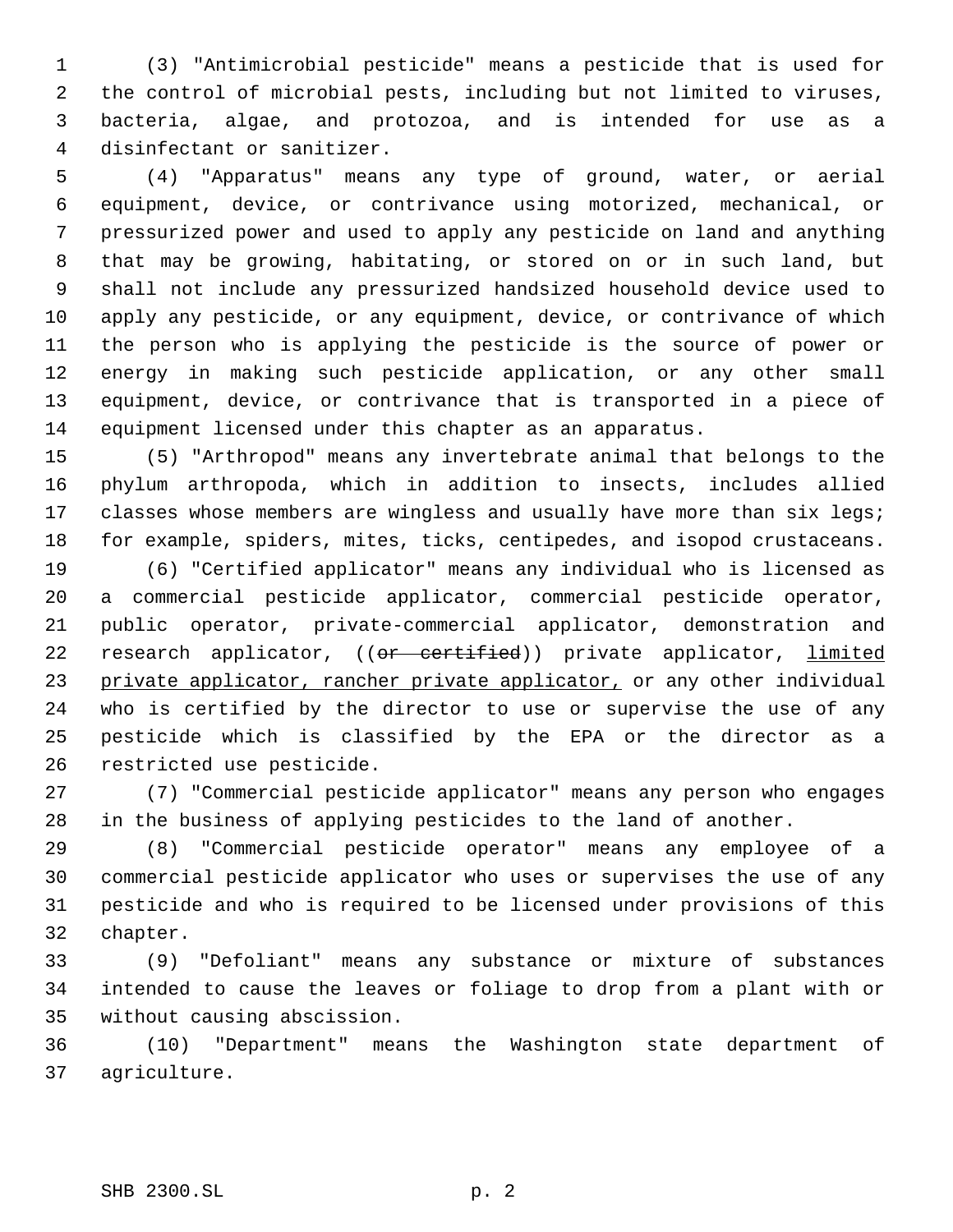(3) "Antimicrobial pesticide" means a pesticide that is used for the control of microbial pests, including but not limited to viruses, bacteria, algae, and protozoa, and is intended for use as a disinfectant or sanitizer.

 (4) "Apparatus" means any type of ground, water, or aerial equipment, device, or contrivance using motorized, mechanical, or pressurized power and used to apply any pesticide on land and anything that may be growing, habitating, or stored on or in such land, but shall not include any pressurized handsized household device used to apply any pesticide, or any equipment, device, or contrivance of which the person who is applying the pesticide is the source of power or energy in making such pesticide application, or any other small equipment, device, or contrivance that is transported in a piece of equipment licensed under this chapter as an apparatus.

 (5) "Arthropod" means any invertebrate animal that belongs to the phylum arthropoda, which in addition to insects, includes allied 17 classes whose members are wingless and usually have more than six legs; for example, spiders, mites, ticks, centipedes, and isopod crustaceans.

 (6) "Certified applicator" means any individual who is licensed as a commercial pesticide applicator, commercial pesticide operator, public operator, private-commercial applicator, demonstration and 22 research applicator, ((or certified)) private applicator, *limited* 23 private applicator, rancher private applicator, or any other individual who is certified by the director to use or supervise the use of any pesticide which is classified by the EPA or the director as a restricted use pesticide.

 (7) "Commercial pesticide applicator" means any person who engages in the business of applying pesticides to the land of another.

 (8) "Commercial pesticide operator" means any employee of a commercial pesticide applicator who uses or supervises the use of any pesticide and who is required to be licensed under provisions of this chapter.

 (9) "Defoliant" means any substance or mixture of substances intended to cause the leaves or foliage to drop from a plant with or without causing abscission.

 (10) "Department" means the Washington state department of agriculture.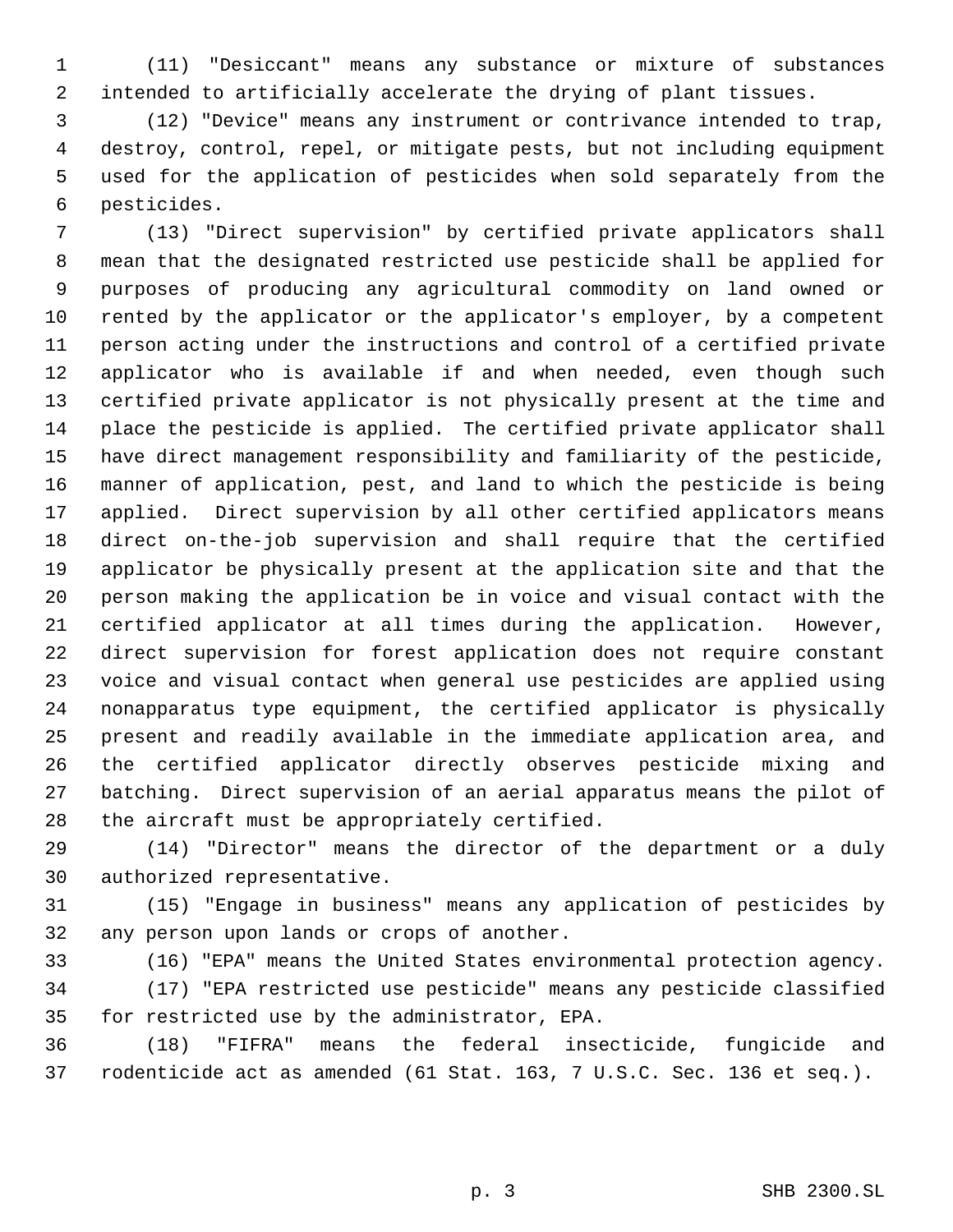(11) "Desiccant" means any substance or mixture of substances intended to artificially accelerate the drying of plant tissues.

 (12) "Device" means any instrument or contrivance intended to trap, destroy, control, repel, or mitigate pests, but not including equipment used for the application of pesticides when sold separately from the pesticides.

 (13) "Direct supervision" by certified private applicators shall mean that the designated restricted use pesticide shall be applied for purposes of producing any agricultural commodity on land owned or rented by the applicator or the applicator's employer, by a competent person acting under the instructions and control of a certified private applicator who is available if and when needed, even though such certified private applicator is not physically present at the time and place the pesticide is applied. The certified private applicator shall have direct management responsibility and familiarity of the pesticide, manner of application, pest, and land to which the pesticide is being applied. Direct supervision by all other certified applicators means direct on-the-job supervision and shall require that the certified applicator be physically present at the application site and that the person making the application be in voice and visual contact with the certified applicator at all times during the application. However, direct supervision for forest application does not require constant voice and visual contact when general use pesticides are applied using nonapparatus type equipment, the certified applicator is physically present and readily available in the immediate application area, and the certified applicator directly observes pesticide mixing and batching. Direct supervision of an aerial apparatus means the pilot of the aircraft must be appropriately certified.

 (14) "Director" means the director of the department or a duly authorized representative.

 (15) "Engage in business" means any application of pesticides by any person upon lands or crops of another.

(16) "EPA" means the United States environmental protection agency.

 (17) "EPA restricted use pesticide" means any pesticide classified for restricted use by the administrator, EPA.

 (18) "FIFRA" means the federal insecticide, fungicide and rodenticide act as amended (61 Stat. 163, 7 U.S.C. Sec. 136 et seq.).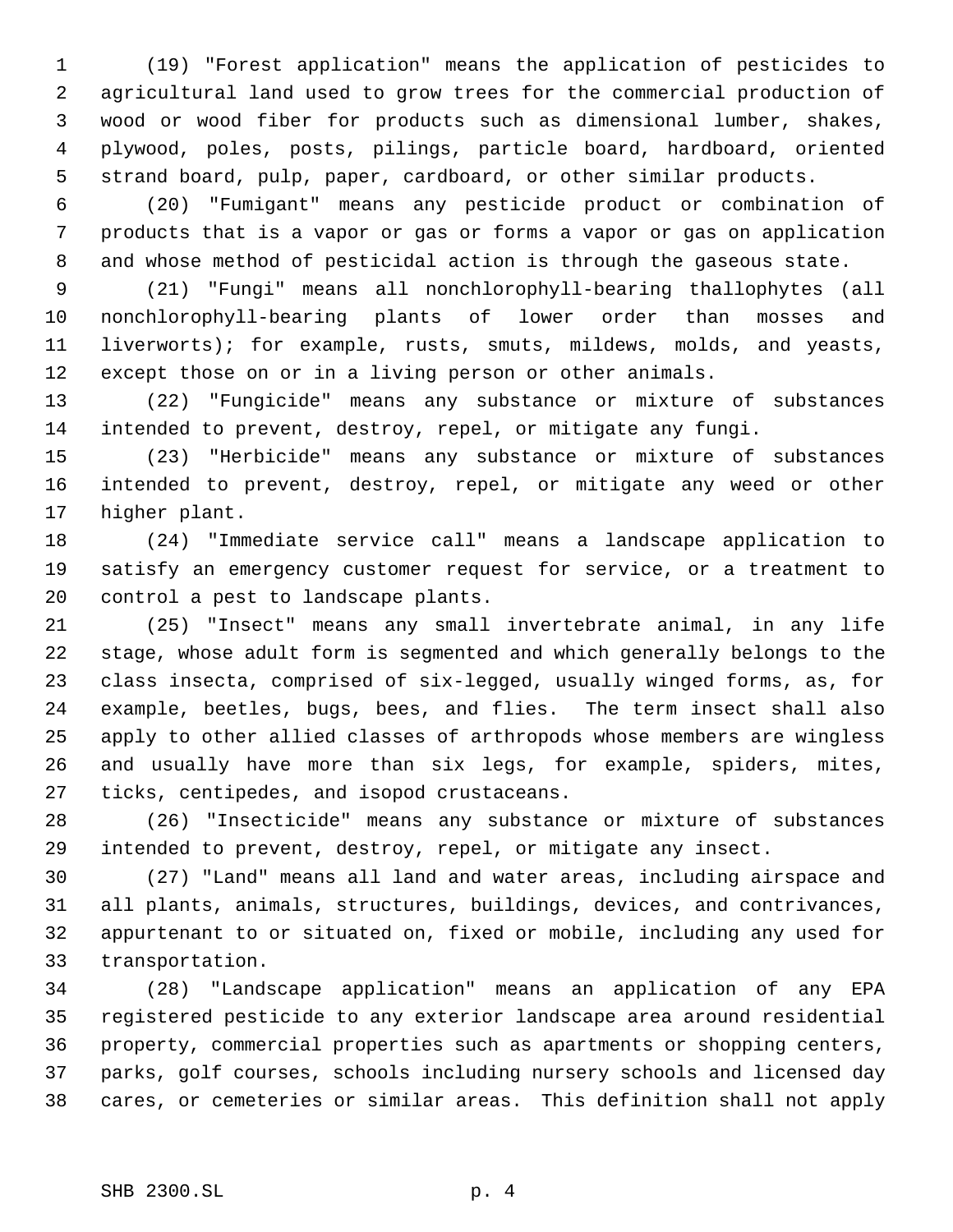(19) "Forest application" means the application of pesticides to agricultural land used to grow trees for the commercial production of wood or wood fiber for products such as dimensional lumber, shakes, plywood, poles, posts, pilings, particle board, hardboard, oriented strand board, pulp, paper, cardboard, or other similar products.

 (20) "Fumigant" means any pesticide product or combination of products that is a vapor or gas or forms a vapor or gas on application and whose method of pesticidal action is through the gaseous state.

 (21) "Fungi" means all nonchlorophyll-bearing thallophytes (all nonchlorophyll-bearing plants of lower order than mosses and liverworts); for example, rusts, smuts, mildews, molds, and yeasts, except those on or in a living person or other animals.

 (22) "Fungicide" means any substance or mixture of substances intended to prevent, destroy, repel, or mitigate any fungi.

 (23) "Herbicide" means any substance or mixture of substances intended to prevent, destroy, repel, or mitigate any weed or other higher plant.

 (24) "Immediate service call" means a landscape application to satisfy an emergency customer request for service, or a treatment to control a pest to landscape plants.

 (25) "Insect" means any small invertebrate animal, in any life stage, whose adult form is segmented and which generally belongs to the class insecta, comprised of six-legged, usually winged forms, as, for example, beetles, bugs, bees, and flies. The term insect shall also apply to other allied classes of arthropods whose members are wingless and usually have more than six legs, for example, spiders, mites, ticks, centipedes, and isopod crustaceans.

 (26) "Insecticide" means any substance or mixture of substances intended to prevent, destroy, repel, or mitigate any insect.

 (27) "Land" means all land and water areas, including airspace and all plants, animals, structures, buildings, devices, and contrivances, appurtenant to or situated on, fixed or mobile, including any used for transportation.

 (28) "Landscape application" means an application of any EPA registered pesticide to any exterior landscape area around residential property, commercial properties such as apartments or shopping centers, parks, golf courses, schools including nursery schools and licensed day cares, or cemeteries or similar areas. This definition shall not apply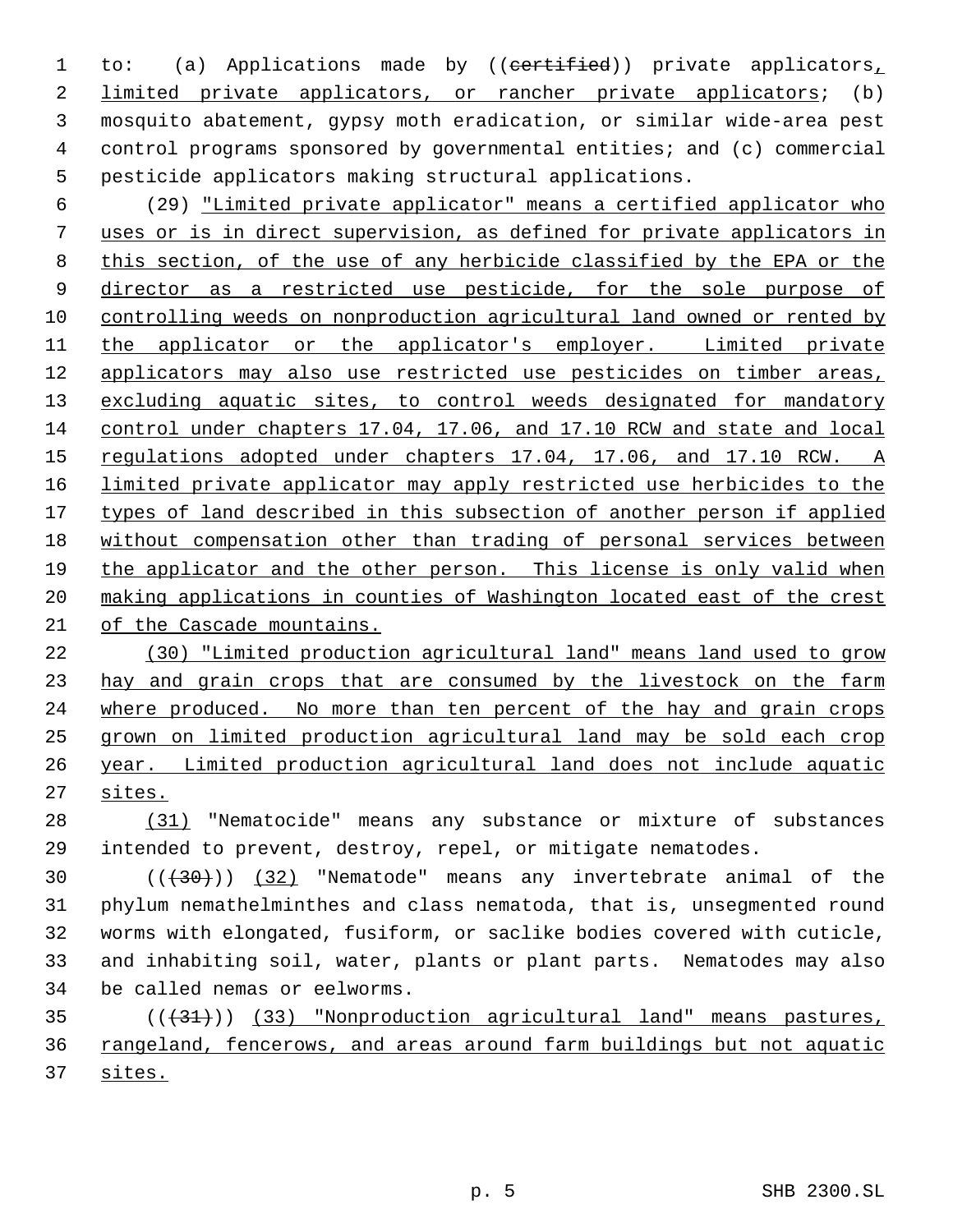1 to: (a) Applications made by ((certified)) private applicators, limited private applicators, or rancher private applicators; (b) mosquito abatement, gypsy moth eradication, or similar wide-area pest control programs sponsored by governmental entities; and (c) commercial pesticide applicators making structural applications.

 (29) "Limited private applicator" means a certified applicator who uses or is in direct supervision, as defined for private applicators in this section, of the use of any herbicide classified by the EPA or the 9 director as a restricted use pesticide, for the sole purpose of controlling weeds on nonproduction agricultural land owned or rented by 11 the applicator or the applicator's employer. Limited private applicators may also use restricted use pesticides on timber areas, 13 excluding aquatic sites, to control weeds designated for mandatory control under chapters 17.04, 17.06, and 17.10 RCW and state and local 15 regulations adopted under chapters 17.04, 17.06, and 17.10 RCW. A limited private applicator may apply restricted use herbicides to the 17 types of land described in this subsection of another person if applied without compensation other than trading of personal services between the applicator and the other person. This license is only valid when making applications in counties of Washington located east of the crest of the Cascade mountains.

 (30) "Limited production agricultural land" means land used to grow 23 hay and grain crops that are consumed by the livestock on the farm where produced. No more than ten percent of the hay and grain crops grown on limited production agricultural land may be sold each crop year. Limited production agricultural land does not include aquatic sites.

 (31) "Nematocide" means any substance or mixture of substances intended to prevent, destroy, repel, or mitigate nematodes.

30 (( $\left(\frac{30}{130}\right)$ ) (32) "Nematode" means any invertebrate animal of the phylum nemathelminthes and class nematoda, that is, unsegmented round worms with elongated, fusiform, or saclike bodies covered with cuticle, and inhabiting soil, water, plants or plant parts. Nematodes may also be called nemas or eelworms.

35 (( $(31)$ ) (33) "Nonproduction agricultural land" means pastures, rangeland, fencerows, and areas around farm buildings but not aquatic sites.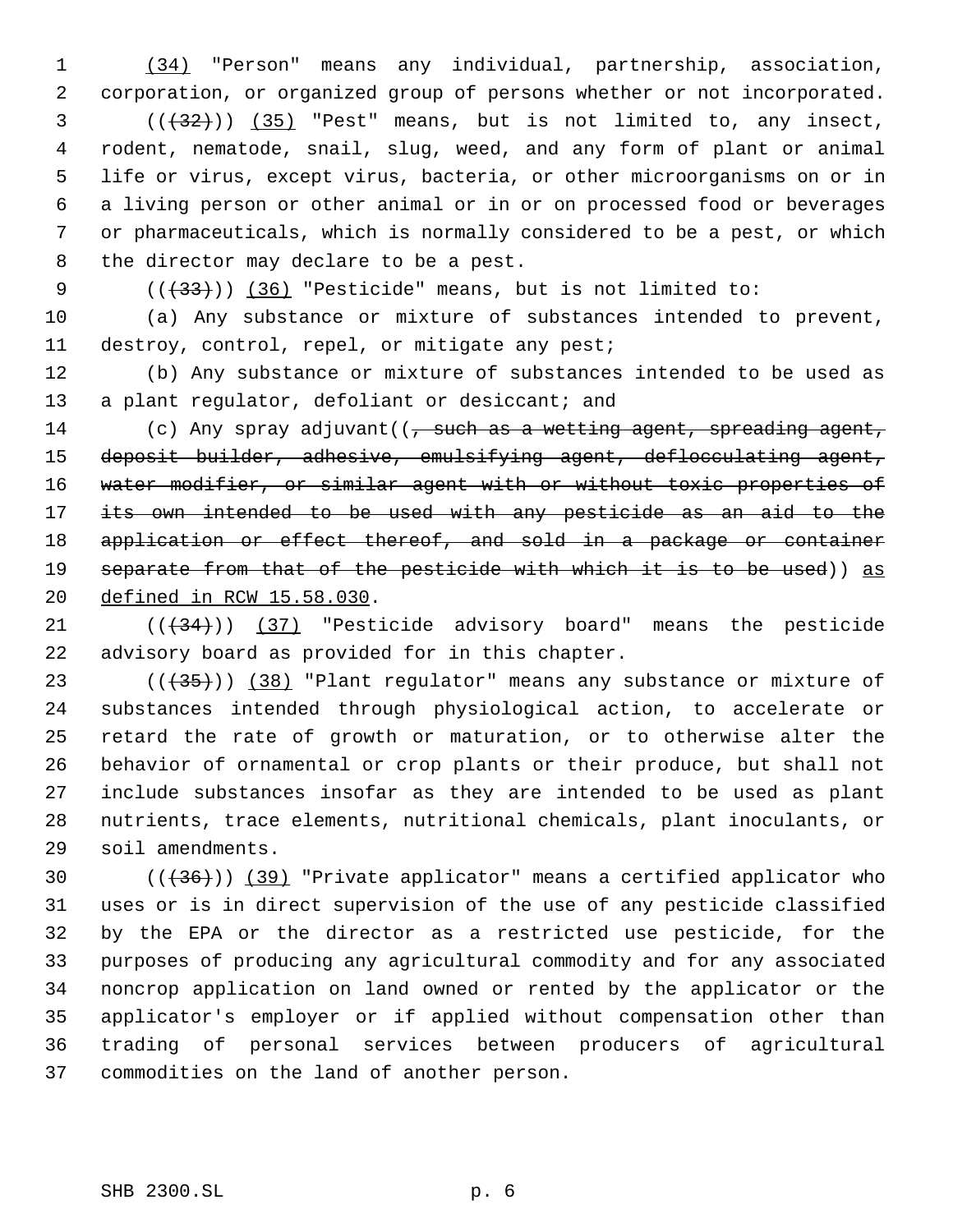(34) "Person" means any individual, partnership, association, corporation, or organized group of persons whether or not incorporated.  $(1,32)$  ( $(35)$  "Pest" means, but is not limited to, any insect, rodent, nematode, snail, slug, weed, and any form of plant or animal life or virus, except virus, bacteria, or other microorganisms on or in a living person or other animal or in or on processed food or beverages or pharmaceuticals, which is normally considered to be a pest, or which the director may declare to be a pest.

9  $((+33))$   $(36)$  "Pesticide" means, but is not limited to:

 (a) Any substance or mixture of substances intended to prevent, destroy, control, repel, or mitigate any pest;

 (b) Any substance or mixture of substances intended to be used as 13 a plant regulator, defoliant or desiccant; and

14 (c) Any spray adjuvant((, such as a wetting agent, spreading agent, deposit builder, adhesive, emulsifying agent, deflocculating agent, 16 water modifier, or similar agent with or without toxic properties of its own intended to be used with any pesticide as an aid to the 18 application or effect thereof, and sold in a package or container 19 separate from that of the pesticide with which it is to be used)) as defined in RCW 15.58.030.

21  $((+34))$   $(37)$  "Pesticide advisory board" means the pesticide advisory board as provided for in this chapter.

 $((+35))$   $(38)$  "Plant regulator" means any substance or mixture of substances intended through physiological action, to accelerate or retard the rate of growth or maturation, or to otherwise alter the behavior of ornamental or crop plants or their produce, but shall not include substances insofar as they are intended to be used as plant nutrients, trace elements, nutritional chemicals, plant inoculants, or soil amendments.

 $((+36))$   $(39)$  "Private applicator" means a certified applicator who uses or is in direct supervision of the use of any pesticide classified by the EPA or the director as a restricted use pesticide, for the purposes of producing any agricultural commodity and for any associated noncrop application on land owned or rented by the applicator or the applicator's employer or if applied without compensation other than trading of personal services between producers of agricultural commodities on the land of another person.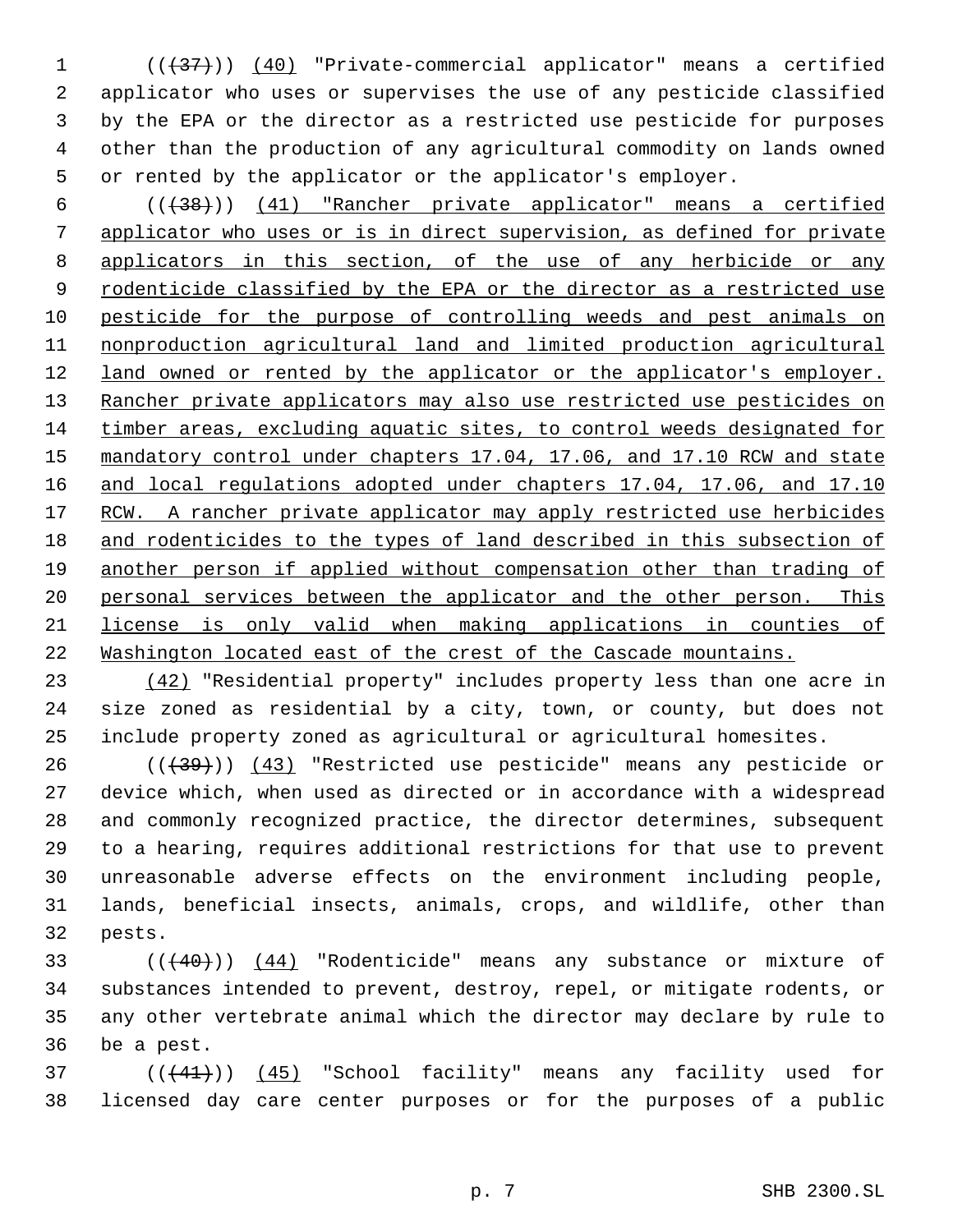1 (( $\left(\frac{37}{1}\right)$ ) (40) "Private-commercial applicator" means a certified applicator who uses or supervises the use of any pesticide classified by the EPA or the director as a restricted use pesticide for purposes other than the production of any agricultural commodity on lands owned or rented by the applicator or the applicator's employer.

 (((38))) (41) "Rancher private applicator" means a certified applicator who uses or is in direct supervision, as defined for private applicators in this section, of the use of any herbicide or any 9 rodenticide classified by the EPA or the director as a restricted use pesticide for the purpose of controlling weeds and pest animals on nonproduction agricultural land and limited production agricultural 12 land owned or rented by the applicator or the applicator's employer. 13 Rancher private applicators may also use restricted use pesticides on timber areas, excluding aquatic sites, to control weeds designated for 15 mandatory control under chapters 17.04, 17.06, and 17.10 RCW and state 16 and local regulations adopted under chapters 17.04, 17.06, and 17.10 17 RCW. A rancher private applicator may apply restricted use herbicides 18 and rodenticides to the types of land described in this subsection of another person if applied without compensation other than trading of 20 personal services between the applicator and the other person. This license is only valid when making applications in counties of Washington located east of the crest of the Cascade mountains.

 (42) "Residential property" includes property less than one acre in size zoned as residential by a city, town, or county, but does not include property zoned as agricultural or agricultural homesites.

26 (( $\left(\frac{439}{1}\right)$ ) (43) "Restricted use pesticide" means any pesticide or device which, when used as directed or in accordance with a widespread and commonly recognized practice, the director determines, subsequent to a hearing, requires additional restrictions for that use to prevent unreasonable adverse effects on the environment including people, lands, beneficial insects, animals, crops, and wildlife, other than pests.

33 (((40))) (44) "Rodenticide" means any substance or mixture of substances intended to prevent, destroy, repel, or mitigate rodents, or any other vertebrate animal which the director may declare by rule to be a pest.

37 (( $(41)$ )) (45) "School facility" means any facility used for licensed day care center purposes or for the purposes of a public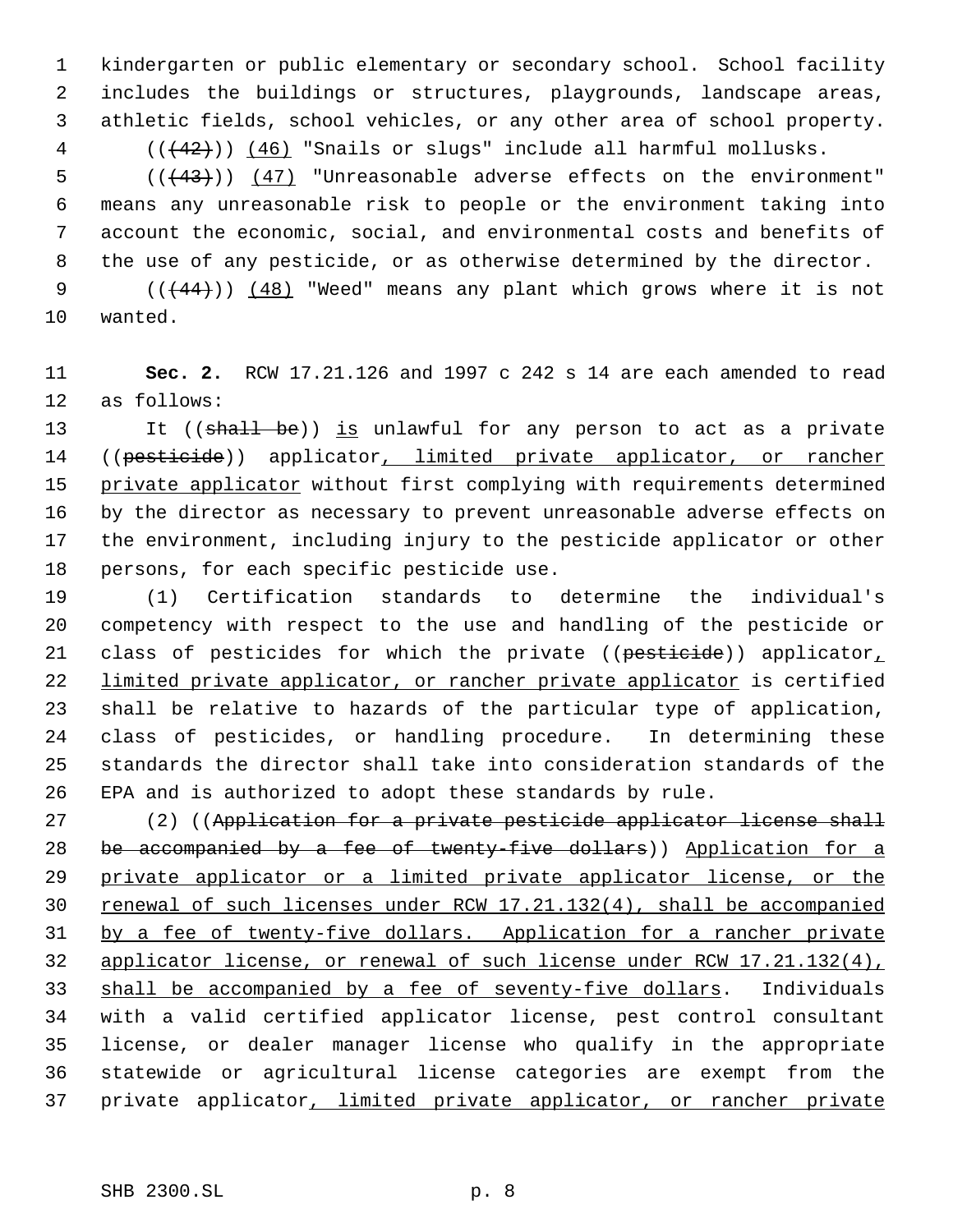kindergarten or public elementary or secondary school. School facility includes the buildings or structures, playgrounds, landscape areas, athletic fields, school vehicles, or any other area of school property. 4 (( $(42)$ )) (46) "Snails or slugs" include all harmful mollusks.

 $((+43))$   $(47)$  "Unreasonable adverse effects on the environment" means any unreasonable risk to people or the environment taking into account the economic, social, and environmental costs and benefits of the use of any pesticide, or as otherwise determined by the director.

 $((44)$ )  $(48)$  "Weed" means any plant which grows where it is not wanted.

 **Sec. 2.** RCW 17.21.126 and 1997 c 242 s 14 are each amended to read as follows:

13 It ((shall be)) is unlawful for any person to act as a private 14 ((pesticide)) applicator, limited private applicator, or rancher 15 private applicator without first complying with requirements determined by the director as necessary to prevent unreasonable adverse effects on the environment, including injury to the pesticide applicator or other persons, for each specific pesticide use.

 (1) Certification standards to determine the individual's competency with respect to the use and handling of the pesticide or 21 class of pesticides for which the private ((pesticide)) applicator, 22 limited private applicator, or rancher private applicator is certified shall be relative to hazards of the particular type of application, class of pesticides, or handling procedure. In determining these standards the director shall take into consideration standards of the EPA and is authorized to adopt these standards by rule.

 (2) ((Application for a private pesticide applicator license shall 28 be accompanied by a fee of twenty-five dollars)) Application for a 29 private applicator or a limited private applicator license, or the 30 renewal of such licenses under RCW 17.21.132(4), shall be accompanied 31 by a fee of twenty-five dollars. Application for a rancher private applicator license, or renewal of such license under RCW 17.21.132(4), 33 shall be accompanied by a fee of seventy-five dollars. Individuals with a valid certified applicator license, pest control consultant license, or dealer manager license who qualify in the appropriate statewide or agricultural license categories are exempt from the 37 private applicator, limited private applicator, or rancher private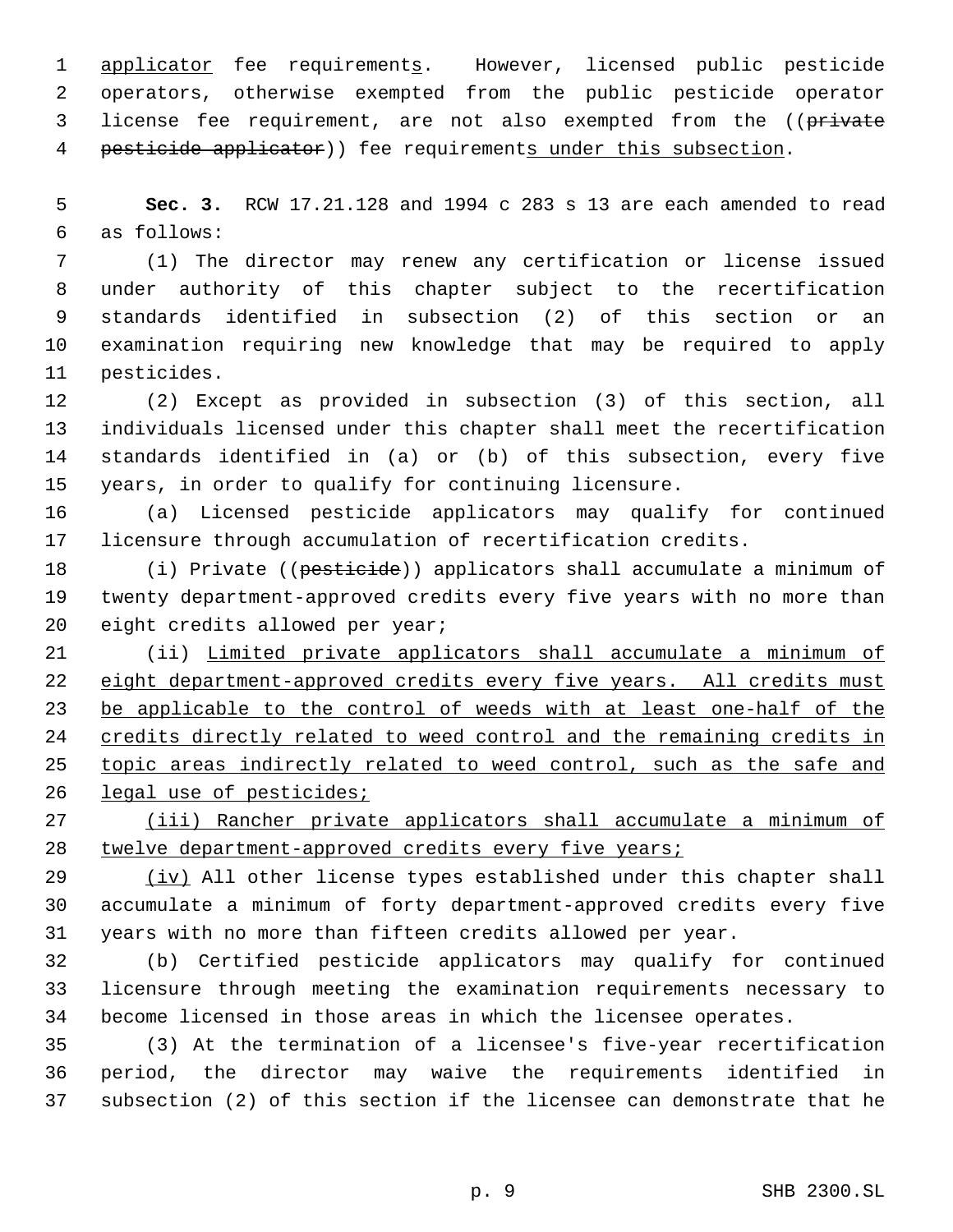1 applicator fee requirements. However, licensed public pesticide operators, otherwise exempted from the public pesticide operator 3 license fee requirement, are not also exempted from the ((private 4 pesticide applicator)) fee requirements under this subsection.

 **Sec. 3.** RCW 17.21.128 and 1994 c 283 s 13 are each amended to read as follows:

 (1) The director may renew any certification or license issued under authority of this chapter subject to the recertification standards identified in subsection (2) of this section or an examination requiring new knowledge that may be required to apply pesticides.

 (2) Except as provided in subsection (3) of this section, all individuals licensed under this chapter shall meet the recertification standards identified in (a) or (b) of this subsection, every five years, in order to qualify for continuing licensure.

 (a) Licensed pesticide applicators may qualify for continued licensure through accumulation of recertification credits.

18 (i) Private ((pesticide)) applicators shall accumulate a minimum of twenty department-approved credits every five years with no more than eight credits allowed per year;

 (ii) Limited private applicators shall accumulate a minimum of 22 eight department-approved credits every five years. All credits must 23 be applicable to the control of weeds with at least one-half of the credits directly related to weed control and the remaining credits in 25 topic areas indirectly related to weed control, such as the safe and legal use of pesticides;

 (iii) Rancher private applicators shall accumulate a minimum of twelve department-approved credits every five years;

29 (iv) All other license types established under this chapter shall accumulate a minimum of forty department-approved credits every five years with no more than fifteen credits allowed per year.

 (b) Certified pesticide applicators may qualify for continued licensure through meeting the examination requirements necessary to become licensed in those areas in which the licensee operates.

 (3) At the termination of a licensee's five-year recertification period, the director may waive the requirements identified in subsection (2) of this section if the licensee can demonstrate that he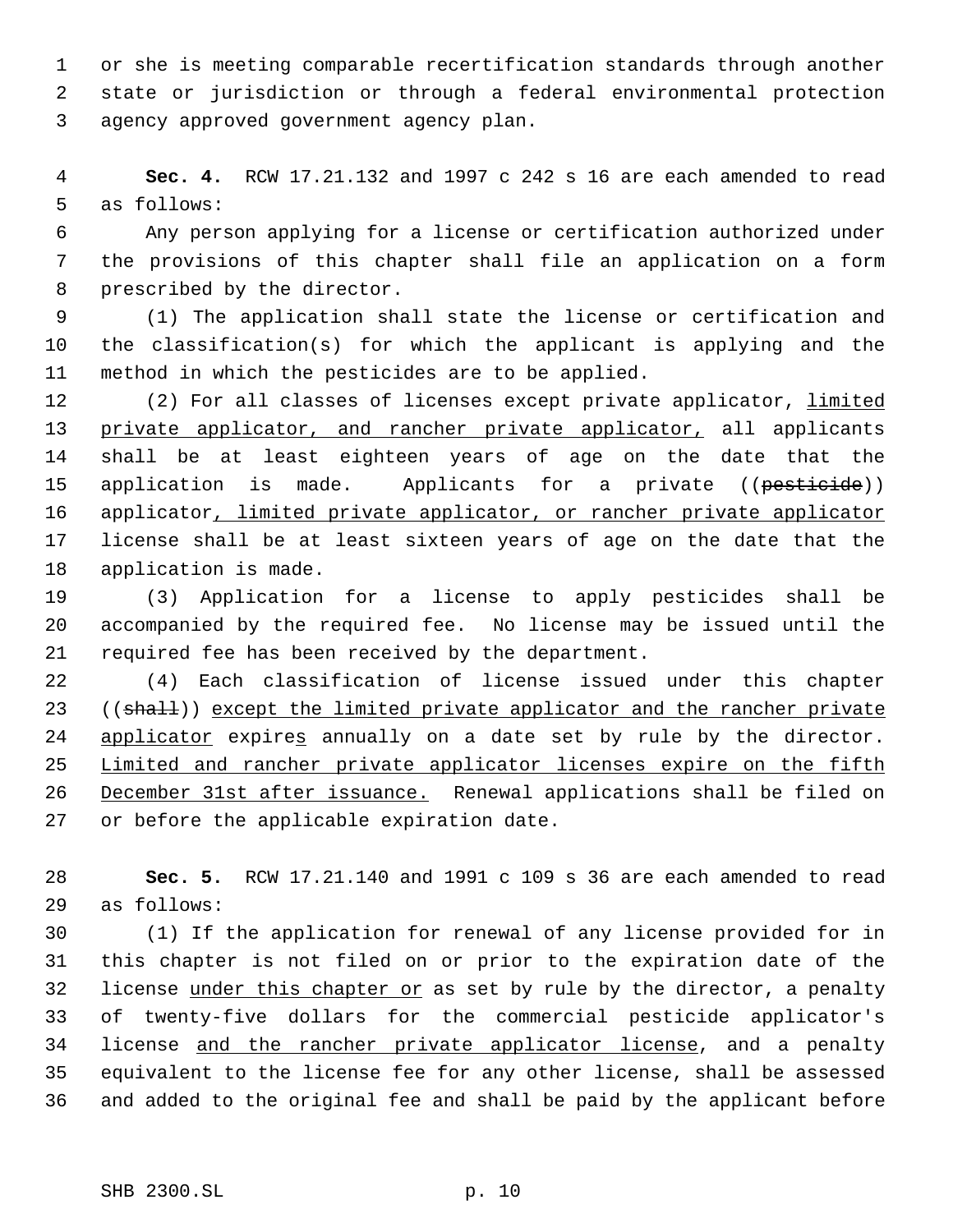or she is meeting comparable recertification standards through another state or jurisdiction or through a federal environmental protection agency approved government agency plan.

 **Sec. 4.** RCW 17.21.132 and 1997 c 242 s 16 are each amended to read as follows:

 Any person applying for a license or certification authorized under the provisions of this chapter shall file an application on a form prescribed by the director.

 (1) The application shall state the license or certification and the classification(s) for which the applicant is applying and the method in which the pesticides are to be applied.

12 (2) For all classes of licenses except private applicator, limited 13 private applicator, and rancher private applicator, all applicants shall be at least eighteen years of age on the date that the 15 application is made. Applicants for a private ((pesticide)) 16 applicator, limited private applicator, or rancher private applicator license shall be at least sixteen years of age on the date that the application is made.

 (3) Application for a license to apply pesticides shall be accompanied by the required fee. No license may be issued until the required fee has been received by the department.

 (4) Each classification of license issued under this chapter 23 ((shall)) except the limited private applicator and the rancher private 24 applicator expires annually on a date set by rule by the director. 25 Limited and rancher private applicator licenses expire on the fifth December 31st after issuance. Renewal applications shall be filed on or before the applicable expiration date.

 **Sec. 5.** RCW 17.21.140 and 1991 c 109 s 36 are each amended to read as follows:

 (1) If the application for renewal of any license provided for in this chapter is not filed on or prior to the expiration date of the 32 license under this chapter or as set by rule by the director, a penalty of twenty-five dollars for the commercial pesticide applicator's license and the rancher private applicator license, and a penalty equivalent to the license fee for any other license, shall be assessed and added to the original fee and shall be paid by the applicant before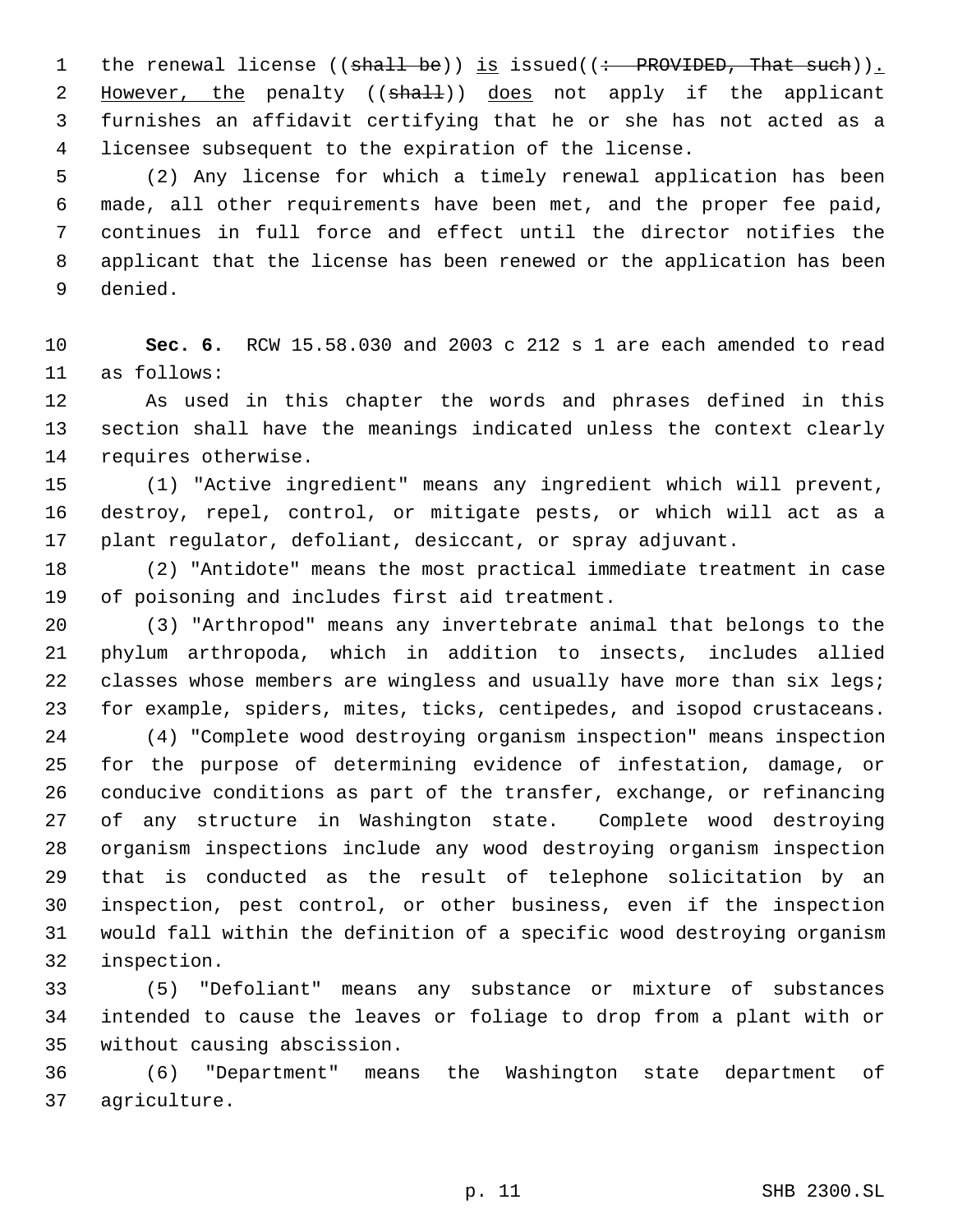1 the renewal license ((shall be)) is issued((: PROVIDED, That such)). 2 However, the penalty ((shall)) does not apply if the applicant furnishes an affidavit certifying that he or she has not acted as a licensee subsequent to the expiration of the license.

 (2) Any license for which a timely renewal application has been made, all other requirements have been met, and the proper fee paid, continues in full force and effect until the director notifies the applicant that the license has been renewed or the application has been denied.

 **Sec. 6.** RCW 15.58.030 and 2003 c 212 s 1 are each amended to read as follows:

 As used in this chapter the words and phrases defined in this section shall have the meanings indicated unless the context clearly requires otherwise.

 (1) "Active ingredient" means any ingredient which will prevent, destroy, repel, control, or mitigate pests, or which will act as a plant regulator, defoliant, desiccant, or spray adjuvant.

 (2) "Antidote" means the most practical immediate treatment in case of poisoning and includes first aid treatment.

 (3) "Arthropod" means any invertebrate animal that belongs to the phylum arthropoda, which in addition to insects, includes allied 22 classes whose members are wingless and usually have more than six legs; for example, spiders, mites, ticks, centipedes, and isopod crustaceans.

 (4) "Complete wood destroying organism inspection" means inspection for the purpose of determining evidence of infestation, damage, or conducive conditions as part of the transfer, exchange, or refinancing of any structure in Washington state. Complete wood destroying organism inspections include any wood destroying organism inspection that is conducted as the result of telephone solicitation by an inspection, pest control, or other business, even if the inspection would fall within the definition of a specific wood destroying organism inspection.

 (5) "Defoliant" means any substance or mixture of substances intended to cause the leaves or foliage to drop from a plant with or without causing abscission.

 (6) "Department" means the Washington state department of agriculture.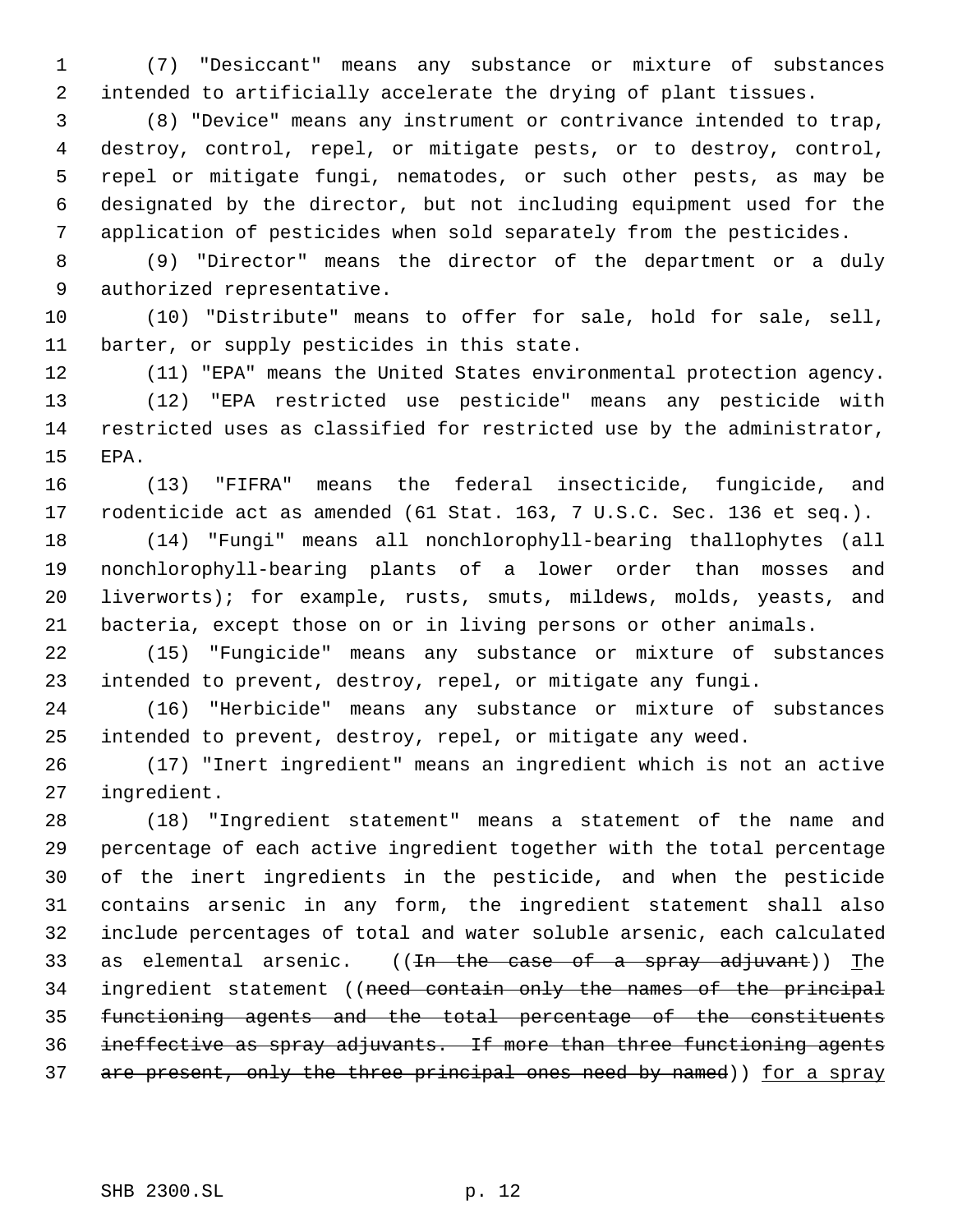(7) "Desiccant" means any substance or mixture of substances intended to artificially accelerate the drying of plant tissues.

 (8) "Device" means any instrument or contrivance intended to trap, destroy, control, repel, or mitigate pests, or to destroy, control, repel or mitigate fungi, nematodes, or such other pests, as may be designated by the director, but not including equipment used for the application of pesticides when sold separately from the pesticides.

 (9) "Director" means the director of the department or a duly authorized representative.

 (10) "Distribute" means to offer for sale, hold for sale, sell, barter, or supply pesticides in this state.

 (11) "EPA" means the United States environmental protection agency. (12) "EPA restricted use pesticide" means any pesticide with restricted uses as classified for restricted use by the administrator, EPA.

 (13) "FIFRA" means the federal insecticide, fungicide, and rodenticide act as amended (61 Stat. 163, 7 U.S.C. Sec. 136 et seq.).

 (14) "Fungi" means all nonchlorophyll-bearing thallophytes (all nonchlorophyll-bearing plants of a lower order than mosses and liverworts); for example, rusts, smuts, mildews, molds, yeasts, and bacteria, except those on or in living persons or other animals.

 (15) "Fungicide" means any substance or mixture of substances intended to prevent, destroy, repel, or mitigate any fungi.

 (16) "Herbicide" means any substance or mixture of substances intended to prevent, destroy, repel, or mitigate any weed.

 (17) "Inert ingredient" means an ingredient which is not an active ingredient.

 (18) "Ingredient statement" means a statement of the name and percentage of each active ingredient together with the total percentage of the inert ingredients in the pesticide, and when the pesticide contains arsenic in any form, the ingredient statement shall also include percentages of total and water soluble arsenic, each calculated 33 as elemental arsenic.  $((\text{In the case of a spray adjuvant}))$  The 34 ingredient statement ((need contain only the names of the principal functioning agents and the total percentage of the constituents ineffective as spray adjuvants. If more than three functioning agents 37 are present, only the three principal ones need by named)) for a spray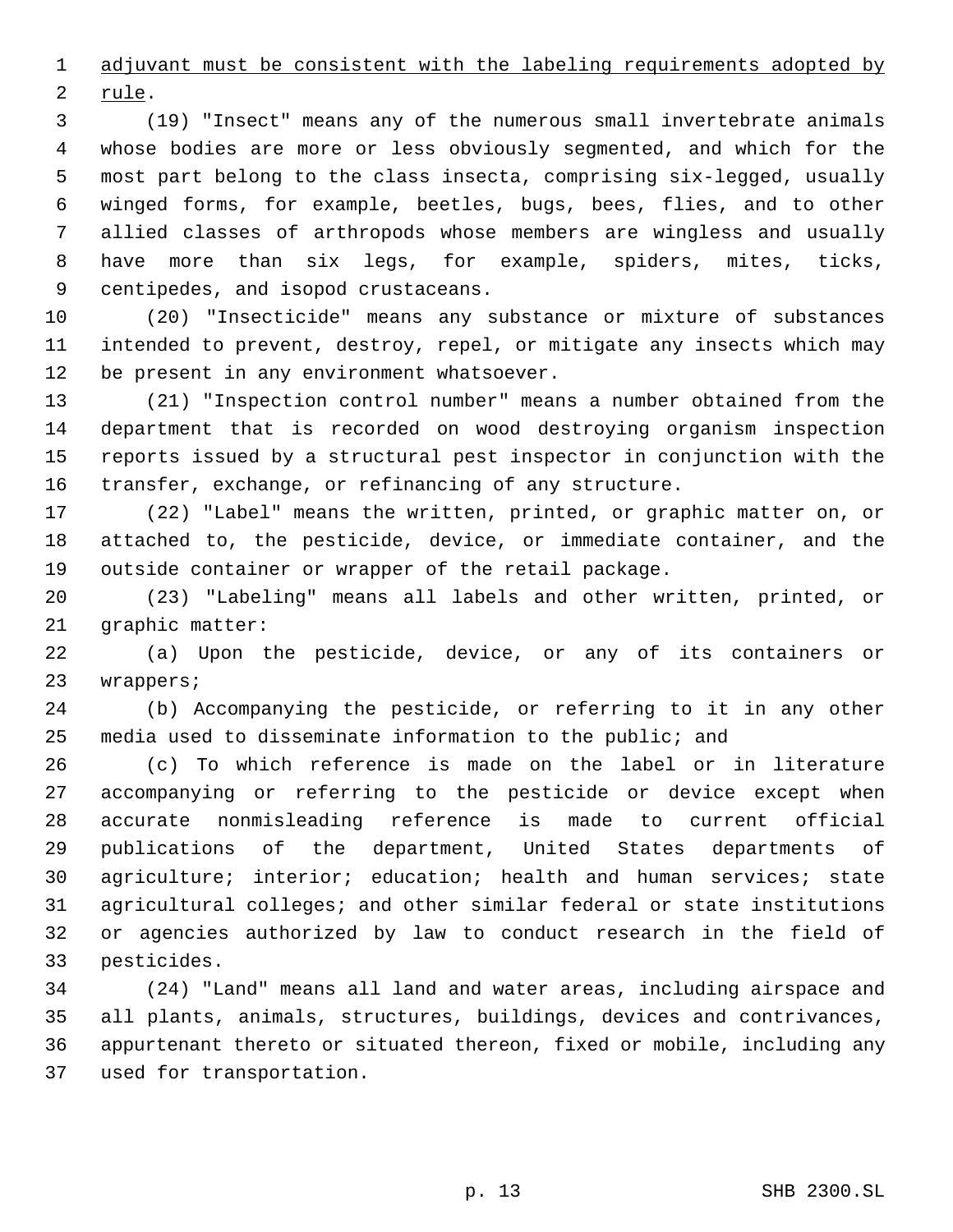1 adjuvant must be consistent with the labeling requirements adopted by

rule.

 (19) "Insect" means any of the numerous small invertebrate animals whose bodies are more or less obviously segmented, and which for the most part belong to the class insecta, comprising six-legged, usually winged forms, for example, beetles, bugs, bees, flies, and to other allied classes of arthropods whose members are wingless and usually have more than six legs, for example, spiders, mites, ticks, centipedes, and isopod crustaceans.

 (20) "Insecticide" means any substance or mixture of substances intended to prevent, destroy, repel, or mitigate any insects which may be present in any environment whatsoever.

 (21) "Inspection control number" means a number obtained from the department that is recorded on wood destroying organism inspection reports issued by a structural pest inspector in conjunction with the transfer, exchange, or refinancing of any structure.

 (22) "Label" means the written, printed, or graphic matter on, or attached to, the pesticide, device, or immediate container, and the outside container or wrapper of the retail package.

 (23) "Labeling" means all labels and other written, printed, or graphic matter:

 (a) Upon the pesticide, device, or any of its containers or wrappers;

 (b) Accompanying the pesticide, or referring to it in any other media used to disseminate information to the public; and

 (c) To which reference is made on the label or in literature accompanying or referring to the pesticide or device except when accurate nonmisleading reference is made to current official publications of the department, United States departments of agriculture; interior; education; health and human services; state agricultural colleges; and other similar federal or state institutions or agencies authorized by law to conduct research in the field of pesticides.

 (24) "Land" means all land and water areas, including airspace and all plants, animals, structures, buildings, devices and contrivances, appurtenant thereto or situated thereon, fixed or mobile, including any used for transportation.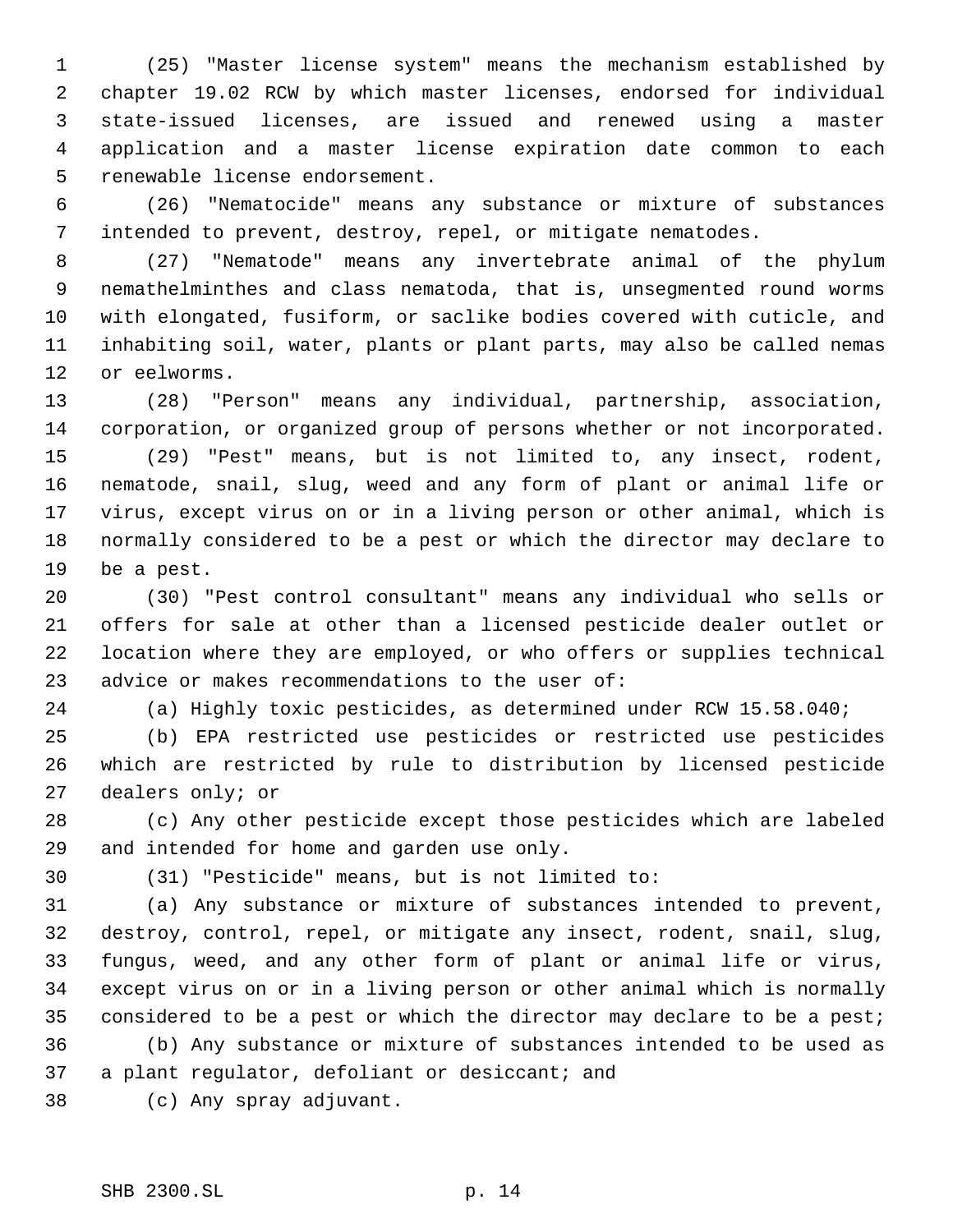(25) "Master license system" means the mechanism established by chapter 19.02 RCW by which master licenses, endorsed for individual state-issued licenses, are issued and renewed using a master application and a master license expiration date common to each renewable license endorsement.

 (26) "Nematocide" means any substance or mixture of substances intended to prevent, destroy, repel, or mitigate nematodes.

 (27) "Nematode" means any invertebrate animal of the phylum nemathelminthes and class nematoda, that is, unsegmented round worms with elongated, fusiform, or saclike bodies covered with cuticle, and inhabiting soil, water, plants or plant parts, may also be called nemas or eelworms.

 (28) "Person" means any individual, partnership, association, corporation, or organized group of persons whether or not incorporated.

 (29) "Pest" means, but is not limited to, any insect, rodent, nematode, snail, slug, weed and any form of plant or animal life or virus, except virus on or in a living person or other animal, which is normally considered to be a pest or which the director may declare to be a pest.

 (30) "Pest control consultant" means any individual who sells or offers for sale at other than a licensed pesticide dealer outlet or location where they are employed, or who offers or supplies technical advice or makes recommendations to the user of:

(a) Highly toxic pesticides, as determined under RCW 15.58.040;

 (b) EPA restricted use pesticides or restricted use pesticides which are restricted by rule to distribution by licensed pesticide dealers only; or

 (c) Any other pesticide except those pesticides which are labeled and intended for home and garden use only.

(31) "Pesticide" means, but is not limited to:

 (a) Any substance or mixture of substances intended to prevent, destroy, control, repel, or mitigate any insect, rodent, snail, slug, fungus, weed, and any other form of plant or animal life or virus, except virus on or in a living person or other animal which is normally 35 considered to be a pest or which the director may declare to be a pest; (b) Any substance or mixture of substances intended to be used as

a plant regulator, defoliant or desiccant; and

(c) Any spray adjuvant.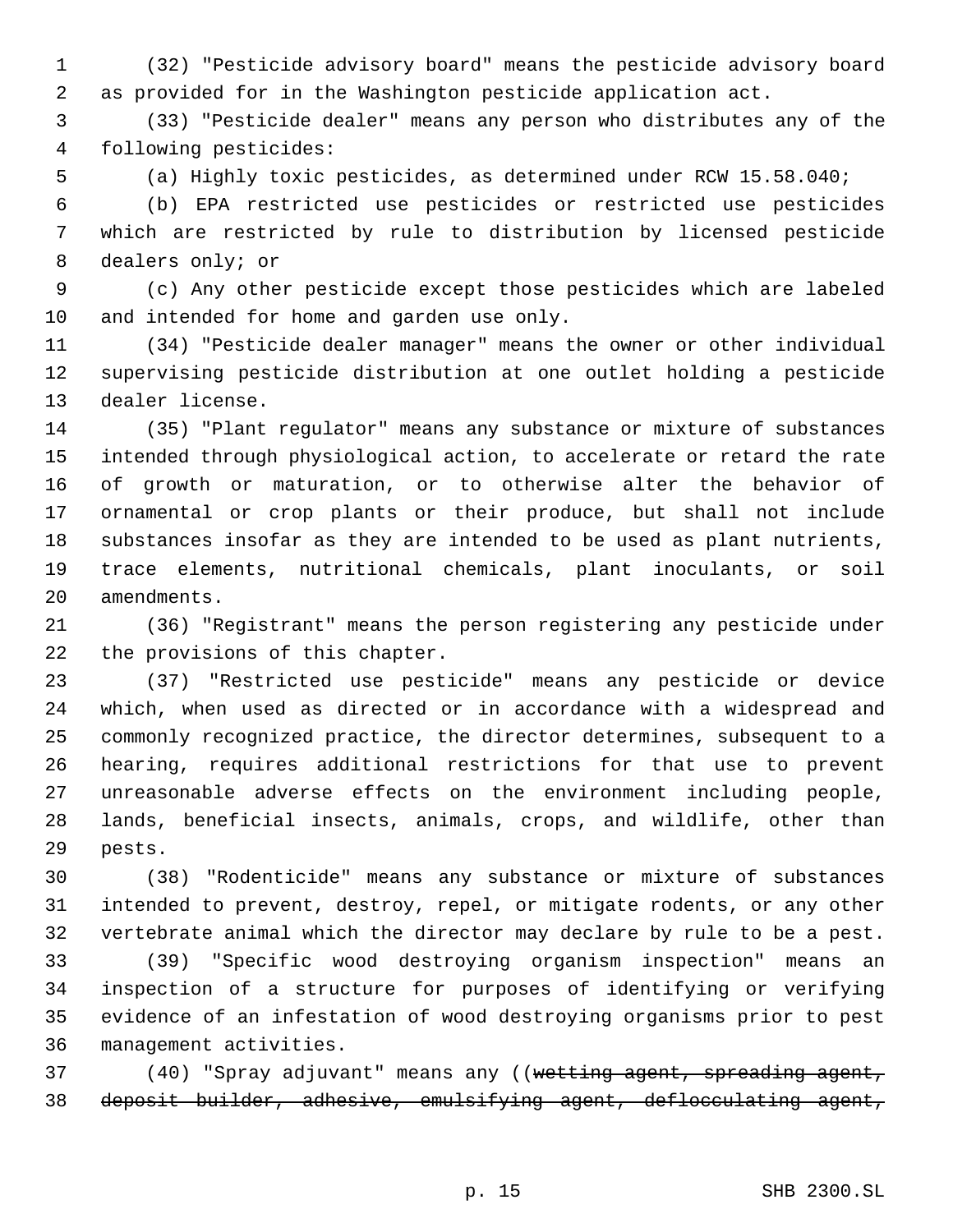(32) "Pesticide advisory board" means the pesticide advisory board as provided for in the Washington pesticide application act.

 (33) "Pesticide dealer" means any person who distributes any of the following pesticides:

(a) Highly toxic pesticides, as determined under RCW 15.58.040;

 (b) EPA restricted use pesticides or restricted use pesticides which are restricted by rule to distribution by licensed pesticide dealers only; or

 (c) Any other pesticide except those pesticides which are labeled and intended for home and garden use only.

 (34) "Pesticide dealer manager" means the owner or other individual supervising pesticide distribution at one outlet holding a pesticide dealer license.

 (35) "Plant regulator" means any substance or mixture of substances intended through physiological action, to accelerate or retard the rate of growth or maturation, or to otherwise alter the behavior of ornamental or crop plants or their produce, but shall not include substances insofar as they are intended to be used as plant nutrients, trace elements, nutritional chemicals, plant inoculants, or soil amendments.

 (36) "Registrant" means the person registering any pesticide under the provisions of this chapter.

 (37) "Restricted use pesticide" means any pesticide or device which, when used as directed or in accordance with a widespread and commonly recognized practice, the director determines, subsequent to a hearing, requires additional restrictions for that use to prevent unreasonable adverse effects on the environment including people, lands, beneficial insects, animals, crops, and wildlife, other than pests.

 (38) "Rodenticide" means any substance or mixture of substances intended to prevent, destroy, repel, or mitigate rodents, or any other vertebrate animal which the director may declare by rule to be a pest.

 (39) "Specific wood destroying organism inspection" means an inspection of a structure for purposes of identifying or verifying evidence of an infestation of wood destroying organisms prior to pest management activities.

37 (40) "Spray adjuvant" means any ((wetting agent, spreading agent, deposit builder, adhesive, emulsifying agent, deflocculating agent,